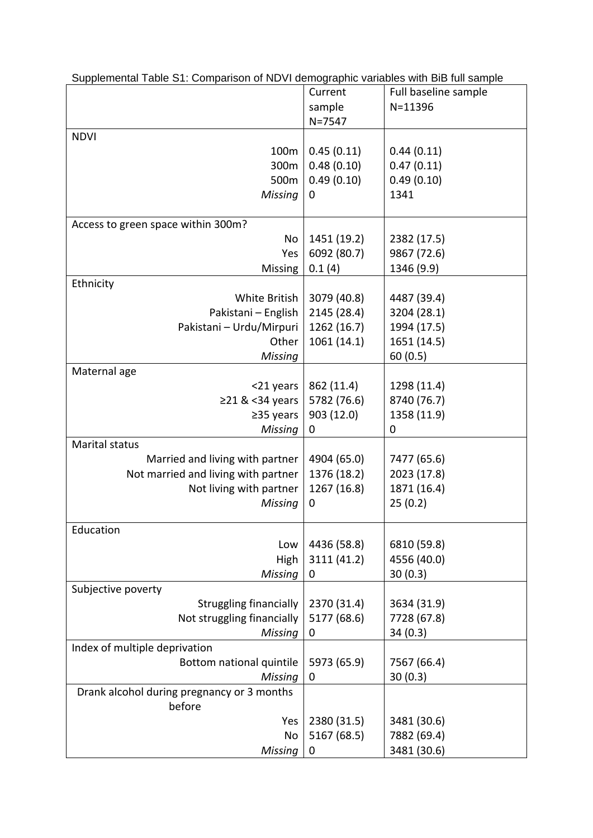| Supplemental Table S1: Comparison of NDVI demographic variables with BiB full sample |             |                      |  |  |
|--------------------------------------------------------------------------------------|-------------|----------------------|--|--|
|                                                                                      | Current     | Full baseline sample |  |  |
|                                                                                      | sample      | $N = 11396$          |  |  |
|                                                                                      | $N = 7547$  |                      |  |  |
| <b>NDVI</b>                                                                          |             |                      |  |  |
| 100m                                                                                 | 0.45(0.11)  | 0.44(0.11)           |  |  |
| 300m                                                                                 | 0.48(0.10)  | 0.47(0.11)           |  |  |
| 500m                                                                                 | 0.49(0.10)  | 0.49(0.10)           |  |  |
| Missing                                                                              | 0           | 1341                 |  |  |
|                                                                                      |             |                      |  |  |
| Access to green space within 300m?                                                   |             |                      |  |  |
| No                                                                                   | 1451 (19.2) | 2382 (17.5)          |  |  |
| Yes                                                                                  | 6092 (80.7) | 9867 (72.6)          |  |  |
| <b>Missing</b>                                                                       | 0.1(4)      | 1346 (9.9)           |  |  |
| Ethnicity                                                                            |             |                      |  |  |
| White British                                                                        | 3079 (40.8) | 4487 (39.4)          |  |  |
| Pakistani - English                                                                  | 2145 (28.4) | 3204 (28.1)          |  |  |
| Pakistani - Urdu/Mirpuri                                                             | 1262 (16.7) | 1994 (17.5)          |  |  |
| Other                                                                                | 1061 (14.1) | 1651 (14.5)          |  |  |
| Missing                                                                              |             | 60(0.5)              |  |  |
| Maternal age                                                                         |             |                      |  |  |
| <21 years                                                                            | 862 (11.4)  | 1298 (11.4)          |  |  |
| ≥21 & <34 years                                                                      | 5782 (76.6) | 8740 (76.7)          |  |  |
| $\geq$ 35 years                                                                      | 903 (12.0)  | 1358 (11.9)          |  |  |
| Missing                                                                              | 0           | 0                    |  |  |
| <b>Marital status</b>                                                                |             |                      |  |  |
| Married and living with partner                                                      | 4904 (65.0) | 7477 (65.6)          |  |  |
| Not married and living with partner                                                  | 1376 (18.2) | 2023 (17.8)          |  |  |
| Not living with partner                                                              | 1267 (16.8) | 1871 (16.4)          |  |  |
| Missing                                                                              | 0           | 25(0.2)              |  |  |
|                                                                                      |             |                      |  |  |
| Education                                                                            |             |                      |  |  |
| Low                                                                                  | 4436 (58.8) | 6810 (59.8)          |  |  |
| High                                                                                 | 3111 (41.2) | 4556 (40.0)          |  |  |
| <b>Missing</b>                                                                       | 0           | 30(0.3)              |  |  |
| Subjective poverty                                                                   |             |                      |  |  |
| <b>Struggling financially</b>                                                        | 2370 (31.4) | 3634 (31.9)          |  |  |
| Not struggling financially                                                           | 5177 (68.6) | 7728 (67.8)          |  |  |
| Missing                                                                              | 0           | 34(0.3)              |  |  |
| Index of multiple deprivation                                                        |             |                      |  |  |
| Bottom national quintile                                                             | 5973 (65.9) | 7567 (66.4)          |  |  |
| Missing                                                                              | 0           | 30(0.3)              |  |  |
| Drank alcohol during pregnancy or 3 months                                           |             |                      |  |  |
| before                                                                               |             |                      |  |  |
| Yes                                                                                  | 2380 (31.5) | 3481 (30.6)          |  |  |
| No                                                                                   | 5167 (68.5) | 7882 (69.4)          |  |  |
| Missing                                                                              | 0           | 3481 (30.6)          |  |  |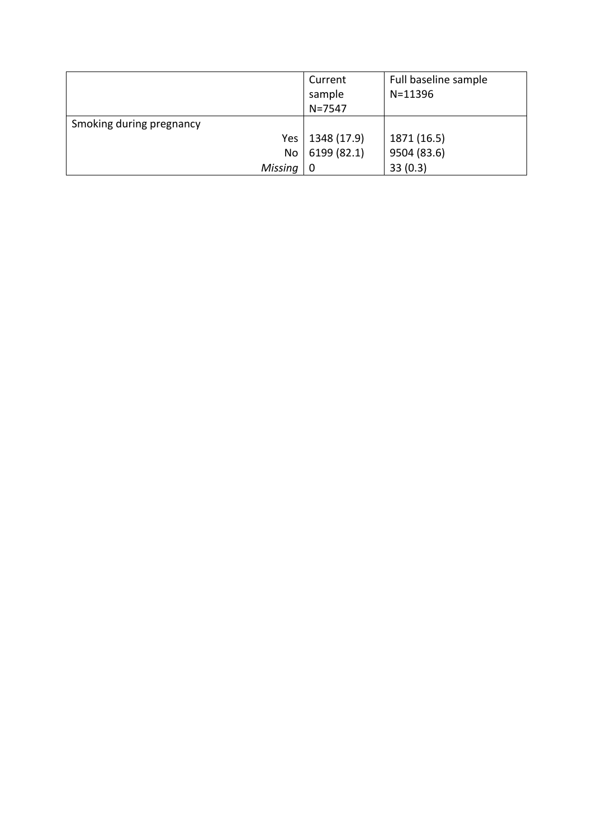|                          | Current     | Full baseline sample |
|--------------------------|-------------|----------------------|
|                          | sample      | $N = 11396$          |
|                          | $N = 7547$  |                      |
| Smoking during pregnancy |             |                      |
| Yes                      | 1348 (17.9) | 1871 (16.5)          |
| No                       | 6199 (82.1) | 9504 (83.6)          |
| Missing                  | 0           | 33(0.3)              |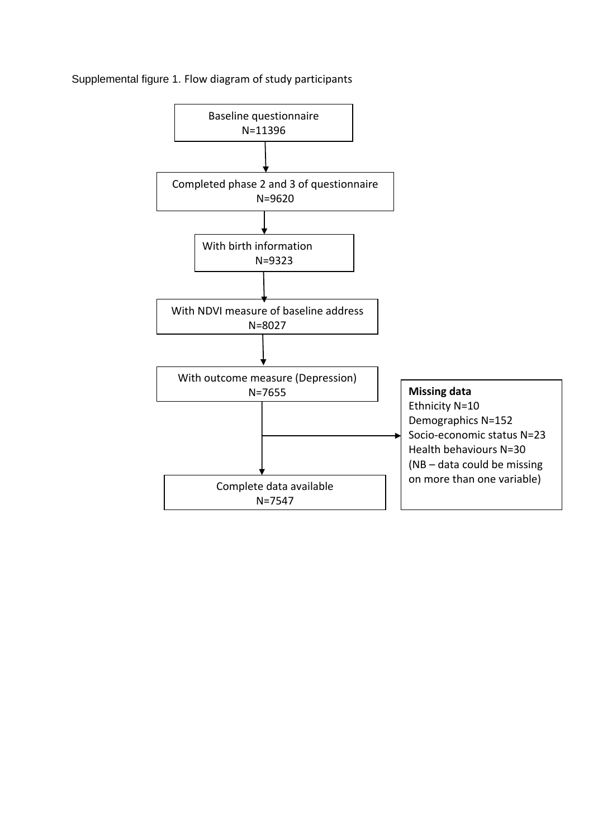

## Supplemental figure 1. Flow diagram of study participants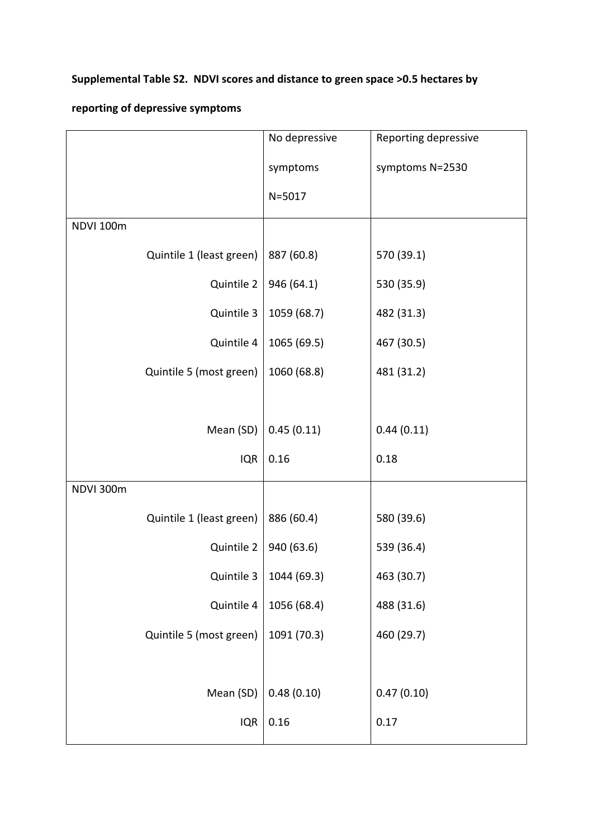## **Supplemental Table S2. NDVI scores and distance to green space >0.5 hectares by**

## **reporting of depressive symptoms**

|           |                          | No depressive | Reporting depressive |
|-----------|--------------------------|---------------|----------------------|
|           |                          | symptoms      | symptoms N=2530      |
|           |                          | $N = 5017$    |                      |
| NDVI 100m |                          |               |                      |
|           | Quintile 1 (least green) | 887 (60.8)    | 570 (39.1)           |
|           | Quintile 2               | 946 (64.1)    | 530 (35.9)           |
|           | Quintile 3               | 1059 (68.7)   | 482 (31.3)           |
|           | Quintile 4               | 1065 (69.5)   | 467 (30.5)           |
|           | Quintile 5 (most green)  | 1060 (68.8)   | 481 (31.2)           |
|           |                          |               |                      |
|           | Mean (SD)                | 0.45(0.11)    | 0.44(0.11)           |
|           | <b>IQR</b>               | 0.16          | 0.18                 |
| NDVI 300m |                          |               |                      |
|           | Quintile 1 (least green) | 886 (60.4)    | 580 (39.6)           |
|           | Quintile 2               | 940 (63.6)    | 539 (36.4)           |
|           | Quintile $3$             | 1044 (69.3)   | 463 (30.7)           |
|           | Quintile 4               | 1056 (68.4)   | 488 (31.6)           |
|           | Quintile 5 (most green)  | 1091 (70.3)   | 460 (29.7)           |
|           |                          |               |                      |
|           | Mean (SD)                | 0.48(0.10)    | 0.47(0.10)           |
|           | <b>IQR</b>               | 0.16          | 0.17                 |